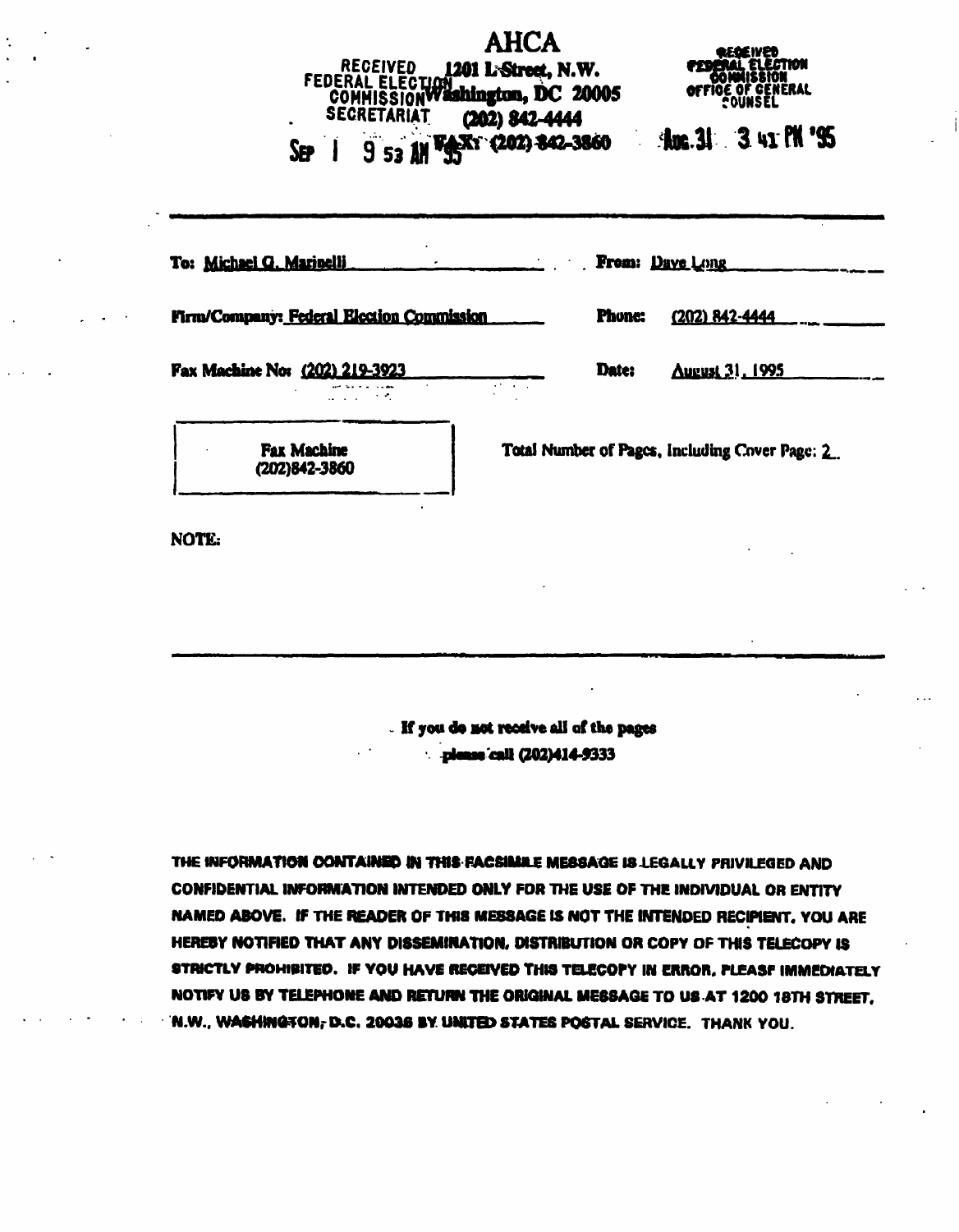## AHCA<br>1201 L-Street, N.W. **RECEIVED** FEDERAL ELECTION COMMISSION Washington, DC 20005 SECRETARIAT **(202) 842-4444** SEP I 953

QUNSEL

**Anc. 31 3 41 PN '95** 

| To: Michael G. Marinelli                       | <b>From: Dave Long</b><br>$\sim 10^{11}$           |
|------------------------------------------------|----------------------------------------------------|
| Firm/Company: Federal Election Commission      | <b>Phone:</b><br>(202) 842-4444                    |
| Fax Machine No: (202) 219-3923<br>as a comment | Date:<br><b>August 31, 1995</b><br>and the company |
| <b>Fax Machine</b><br>(202)842-3860            | Total Number of Pages, Including Cover Page: 2     |
| NOTE:                                          |                                                    |

If you to Art receive all of the pages : please call (202)414-9333

THE INFORMATION CONTAINED IN THIS FACSIMAL MESSAGE IS LEGALLY PRIVILEGED AND CONFIDENTIAL INFORMATION INTENDED ONLY FOR THE USE OF THE INDIVIDUAL OR ENTITY NAMED ABOVE. IF THE READER OF THIS MESSAGE IS NOT THE INTENDED RECIPIENT. YOU ARE HERESY NOTIFIED THAT ANY DISSEMINATION. DISTRIBUTION OR COPY OF THIS TELECOPY IS STRICTLY PROHIBITED. IF YOU HAVE RECEIVED THIS TELECOPY IN ERROR, PLEASF IMMEDIATELY NOTIFY US BY TELEPHONE AND RETURN THE ORIGINAL MESSAGE TO US AT 1200 1BTH STREET. N.W.. WASHINGTON,-B.C. 20036 BY. UIHTED STATES POSTAL SERVICE. THANK YOU.